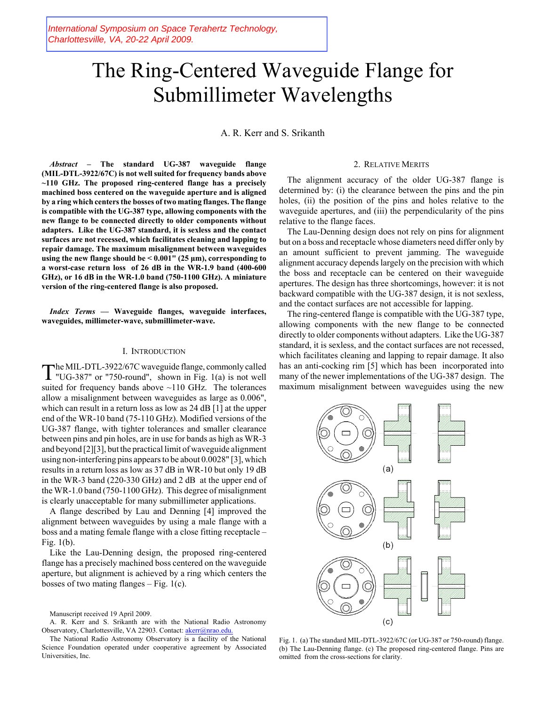# The Ring-Centered Waveguide Flange for Submillimeter Wavelengths

A. R. Kerr and S. Srikanth

*Abstract –* **The standard UG-387 waveguide flange (MIL-DTL-3922/67C) is not well suited for frequency bands above ~110 GHz. The proposed ring-centered flange has a precisely machined boss centered on the waveguide aperture and is aligned by a ring which centers the bosses of two mating flanges. The flange is compatible with the UG-387 type, allowing components with the new flange to be connected directly to older components without adapters. Like the UG-387 standard, it is sexless and the contact surfaces are not recessed, which facilitates cleaning and lapping to repair damage. The maximum misalignment between waveguides using the new flange should be < 0.001" (25 μm), corresponding to a worst-case return loss of 26 dB in the WR-1.9 band (400-600 GHz), or 16 dB in the WR-1.0 band (750-1100 GHz). A miniature version of the ring-centered flange is also proposed.** 

*Index Terms* **–– Waveguide flanges, waveguide interfaces, waveguides, millimeter-wave, submillimeter-wave.**

## I. INTRODUCTION

The MIL-DTL-3922/67C waveguide flange, commonly called "UG-387" or "750-round", shown in Fig. 1(a) is not well suited for frequency bands above ~110 GHz. The tolerances allow a misalignment between waveguides as large as 0.006", which can result in a return loss as low as 24 dB [1] at the upper end of the WR-10 band (75-110 GHz). Modified versions of the UG-387 flange, with tighter tolerances and smaller clearance between pins and pin holes, are in use for bands as high as WR-3 and beyond [2][3], but the practical limit of waveguide alignment using non-interfering pins appears to be about 0.0028" [3], which results in a return loss as low as 37 dB in WR-10 but only 19 dB in the WR-3 band (220-330 GHz) and 2 dB at the upper end of the WR-1.0 band (750-1100 GHz). This degree of misalignment is clearly unacceptable for many submillimeter applications.

A flange described by Lau and Denning [4] improved the alignment between waveguides by using a male flange with a boss and a mating female flange with a close fitting receptacle – Fig. 1(b).

Like the Lau-Denning design, the proposed ring-centered flange has a precisely machined boss centered on the waveguide aperture, but alignment is achieved by a ring which centers the bosses of two mating flanges  $-$  Fig. 1(c).

# 2. RELATIVE MERITS

The alignment accuracy of the older UG-387 flange is determined by: (i) the clearance between the pins and the pin holes, (ii) the position of the pins and holes relative to the waveguide apertures, and (iii) the perpendicularity of the pins relative to the flange faces.

The Lau-Denning design does not rely on pins for alignment but on a boss and receptacle whose diameters need differ only by an amount sufficient to prevent jamming. The waveguide alignment accuracy depends largely on the precision with which the boss and receptacle can be centered on their waveguide apertures. The design has three shortcomings, however: it is not backward compatible with the UG-387 design, it is not sexless, and the contact surfaces are not accessible for lapping.

The ring-centered flange is compatible with the UG-387 type, allowing components with the new flange to be connected directly to older components without adapters. Like the UG-387 standard, it is sexless, and the contact surfaces are not recessed, which facilitates cleaning and lapping to repair damage. It also has an anti-cocking rim [5] which has been incorporated into many of the newer implementations of the UG-387 design. The maximum misalignment between waveguides using the new



Fig. 1. (a) The standard MIL-DTL-3922/67C (or UG-387 or 750-round) flange. (b) The Lau-Denning flange. (c) The proposed ring-centered flange. Pins are omitted from the cross-sections for clarity.

Manuscript received 19 April 2009.

A. R. Kerr and S. Srikanth are with the National Radio Astronomy Observatory, Charlottesville, VA 22903. Contact: akerr@nrao.edu.

The National Radio Astronomy Observatory is a facility of the National Science Foundation operated under cooperative agreement by Associated Universities, Inc.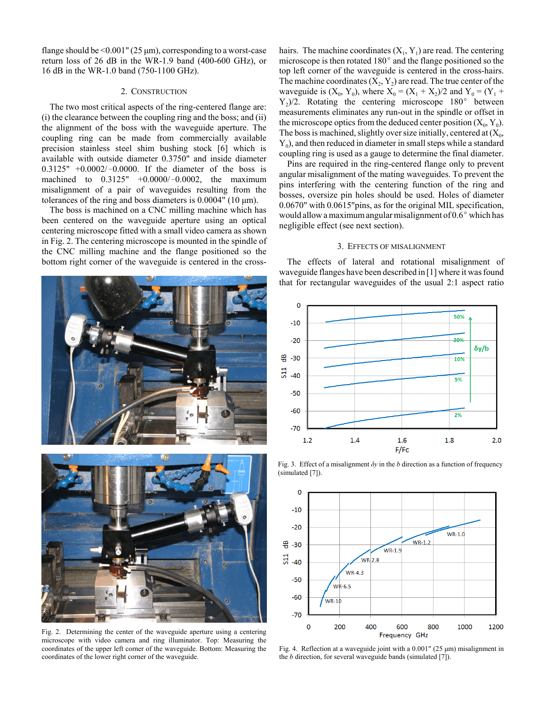flange should be  $\leq 0.001$ " (25  $\mu$ m), corresponding to a worst-case return loss of 26 dB in the WR-1.9 band (400-600 GHz), or 16 dB in the WR-1.0 band (750-1100 GHz).

### 2. CONSTRUCTION

The two most critical aspects of the ring-centered flange are: (i) the clearance between the coupling ring and the boss; and (ii) the alignment of the boss with the waveguide aperture. The coupling ring can be made from commercially available precision stainless steel shim bushing stock [6] which is available with outside diameter 0.3750" and inside diameter  $0.3125'' + 0.0002/-0.0000$ . If the diameter of the boss is machined to  $0.3125" +0.0000/-0.0002$ , the maximum misalignment of a pair of waveguides resulting from the tolerances of the ring and boss diameters is 0.0004" (10 μm).

The boss is machined on a CNC milling machine which has been centered on the waveguide aperture using an optical centering microscope fitted with a small video camera as shown in Fig. 2. The centering microscope is mounted in the spindle of the CNC milling machine and the flange positioned so the bottom right corner of the waveguide is centered in the cross-





Fig. 2. Determining the center of the waveguide aperture using a centering microscope with video camera and ring illuminator. Top: Measuring the coordinates of the upper left corner of the waveguide. Bottom: Measuring the coordinates of the lower right corner of the waveguide.

hairs. The machine coordinates  $(X_1, Y_1)$  are read. The centering microscope is then rotated  $180^{\circ}$  and the flange positioned so the top left corner of the waveguide is centered in the cross-hairs. The machine coordinates  $(X_2, Y_2)$  are read. The true center of the waveguide is  $(X_0, Y_0)$ , where  $X_0 = (X_1 + X_2)/2$  and  $Y_0 = (Y_1 + Y_2)/2$  $Y_2/2$ . Rotating the centering microscope 180° between measurements eliminates any run-out in the spindle or offset in the microscope optics from the deduced center position  $(X_0, Y_0)$ . The boss is machined, slightly over size initially, centered at  $(X_0,$  $Y_0$ , and then reduced in diameter in small steps while a standard coupling ring is used as a gauge to determine the final diameter.

Pins are required in the ring-centered flange only to prevent angular misalignment of the mating waveguides. To prevent the pins interfering with the centering function of the ring and bosses, oversize pin holes should be used. Holes of diameter 0.0670" with 0.0615"pins, as for the original MIL specification, would allow a maximum angular misalignment of  $0.6^{\circ}$  which has negligible effect (see next section).

#### 3. EFFECTS OF MISALIGNMENT

The effects of lateral and rotational misalignment of waveguide flanges have been described in [1] where it was found that for rectangular waveguides of the usual 2:1 aspect ratio



Fig. 3. Effect of a misalignment  $\delta y$  in the *b* direction as a function of frequency (simulated [7]).



Fig. 4. Reflection at a waveguide joint with a 0.001" (25 μm) misalignment in the *b* direction, for several waveguide bands (simulated [7]).